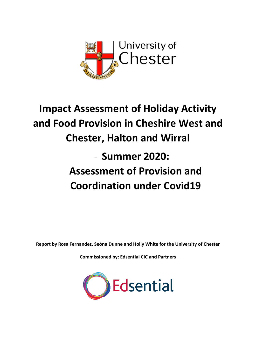

# **Impact Assessment of Holiday Activity and Food Provision in Cheshire West and Chester, Halton and Wirral** - **Summer 2020: Assessment of Provision and Coordination under Covid19**

**Report by Rosa Fernandez, Seóna Dunne and Holly White for the University of Chester**

**Commissioned by: Edsential CIC and Partners**

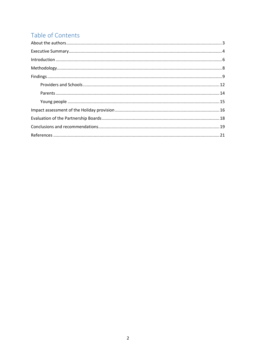# Table of Contents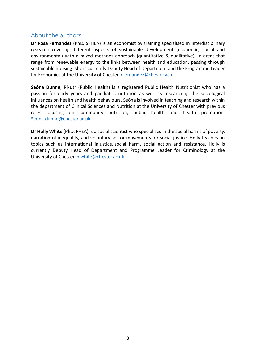# <span id="page-2-0"></span>About the authors

**Dr Rosa Fernandez** (PhD, SFHEA) is an economist by training specialised in interdisciplinary research covering different aspects of sustainable development (economic, social and environmental) with a mixed methods approach (quantitative & qualitative), in areas that range from renewable energy to the links between health and education, passing through sustainable housing. She is currently Deputy Head of Department and the Programme Leader for Economics at the University of Chester. [r.fernandez@chester.ac.uk](mailto:r.fernandez@chester.ac.uk)

**Seóna Dunne**, RNutr (Public Health) is a registered Public Health Nutritionist who has a passion for early years and paediatric nutrition as well as researching the sociological influences on health and health behaviours. Seóna is involved in teaching and research within the department of Clinical Sciences and Nutrition at the University of Chester with previous roles focusing on community nutrition, public health and health promotion. [Seona.dunne@chester.ac.uk](mailto:Seona.dunne@chester.ac.uk)

**Dr Holly White** (PhD, FHEA) is a social scientist who specialises in the social harms of poverty, narration of inequality, and voluntary sector movements for social justice. Holly teaches on topics such as international injustice, social harm, social action and resistance. Holly is currently Deputy Head of Department and Programme Leader for Criminology at the University of Chester. [h.white@chester.ac.uk](mailto:h.white@chester.ac.uk)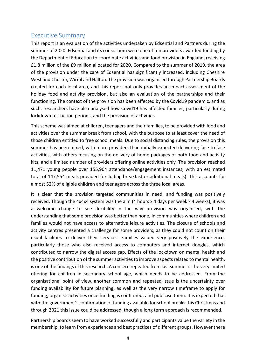# <span id="page-3-0"></span>Executive Summary

This report is an evaluation of the activities undertaken by Edsential and Partners during the summer of 2020. Edsential and its consortium were one of ten providers awarded funding by the Department of Education to coordinate activities and food provision in England, receiving £1.8 million of the £9 million allocated for 2020. Compared to the summer of 2019, the area of the provision under the care of Edsential has significantly increased, including Cheshire West and Chester, Wirral and Halton. The provision was organised through Partnership Boards created for each local area, and this report not only provides an impact assessment of the holiday food and activity provision, but also an evaluation of the partnerships and their functioning. The context of the provision has been affected by the Covid19 pandemic, and as such, researchers have also analysed how Covid19 has affected families, particularly during lockdown restriction periods, and the provision of activities.

This scheme was aimed at children, teenagers and their families, to be provided with food and activities over the summer break from school, with the purpose to at least cover the need of those children entitled to free school meals. Due to social distancing rules, the provision this summer has been mixed, with more providers than initially expected delivering face to face activities, with others focusing on the delivery of home packages of both food and activity kits, and a limited number of providers offering online activities only. The provision reached 11,471 young people over 155,904 attendance/engagement instances, with an estimated total of 147,554 meals provided (excluding breakfast or additional meals). This accounts for almost 52% of eligible children and teenagers across the three local areas.

It is clear that the provision targeted communities in need, and funding was positively received. Though the 4x4x4 system was the aim (4 hours x 4 days per week x 4 weeks), it was a welcome change to see flexibility in the way provision was organised, with the understanding that some provision was better than none, in communities where children and families would not have access to alternative leisure activities. The closure of schools and activity centres presented a challenge for some providers, as they could not count on their usual facilities to deliver their services. Families valued very positively the experience, particularly those who also received access to computers and internet dongles, which contributed to narrow the digital access gap. Effects of the lockdown on mental health and the positive contribution of the summer activities to improve aspects related to mental health, is one of the findings of this research. A concern repeated from last summer is the very limited offering for children in secondary school age, which needs to be addressed. From the organisational point of view, another common and repeated issue is the uncertainty over funding availability for future planning, as well as the very narrow timeframe to apply for funding, organise activities once funding is confirmed, and publicise them. It is expected that with the government's confirmation of funding available for school breaks this Christmas and through 2021 this issue could be addressed, though a long term approach is recommended.

Partnership boards seem to have worked successfully and participants value the variety in the membership, to learn from experiences and best practices of different groups. However there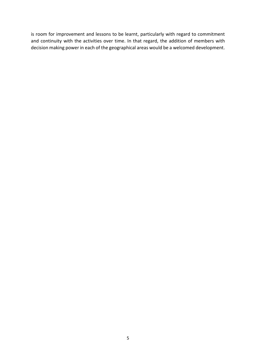is room for improvement and lessons to be learnt, particularly with regard to commitment and continuity with the activities over time. In that regard, the addition of members with decision making power in each of the geographical areas would be a welcomed development.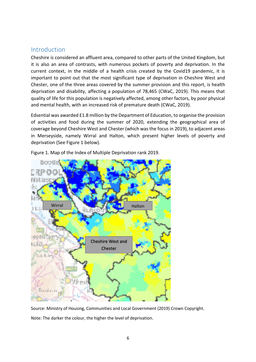## <span id="page-5-0"></span>**Introduction**

Cheshire is considered an affluent area, compared to other parts of the United Kingdom, but it is also an area of contrasts, with numerous pockets of poverty and deprivation. In the current context, in the middle of a health crisis created by the Covid19 pandemic, it is important to point out that the most significant type of deprivation in Cheshire West and Chester, one of the three areas covered by the summer provision and this report, is health deprivation and disability, affecting a population of 78,465 (CWaC, 2019). This means that quality of life for this population is negatively affected, among other factors, by poor physical and mental health, with an increased risk of premature death (CWaC, 2019).

Edsential was awarded £1.8 million by the Department of Education, to organise the provision of activities and food during the summer of 2020, extending the geographical area of coverage beyond Cheshire West and Chester (which was the focus in 2019), to adjacent areas in Merseyside, namely Wirral and Halton, which present higher levels of poverty and deprivation (See Figure 1 below).



Figure 1. Map of the Index of Multiple Deprivation rank 2019.

Source: Ministry of Housing, Communities and Local Government (2019) Crown Copyright. Note: The darker the colour, the higher the level of deprivation.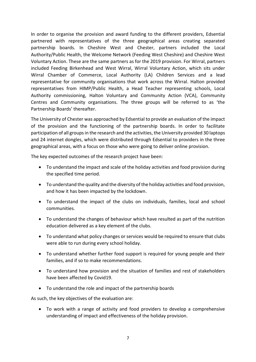In order to organise the provision and award funding to the different providers, Edsential partnered with representatives of the three geographical areas creating separated partnership boards. In Cheshire West and Chester, partners included the Local Authority/Public Health, the Welcome Network (Feeding West Cheshire) and Cheshire West Voluntary Action. These are the same partners as for the 2019 provision. For Wirral, partners included Feeding Birkenhead and West Wirral, Wirral Voluntary Action, which sits under Wirral Chamber of Commerce, Local Authority (LA) Children Services and a lead representative for community organisations that work across the Wirral. Halton provided representatives from HIMP/Public Health, a Head Teacher representing schools, Local Authority commissioning, Halton Voluntary and Community Action (VCA), Community Centres and Community organisations. The three groups will be referred to as 'the Partnership Boards' thereafter.

The University of Chester was approached by Edsential to provide an evaluation of the impact of the provision and the functioning of the partnership boards. In order to facilitate participation of all groups in the research and the activities, the University provided 30 laptops and 24 internet dongles, which were distributed through Edsential to providers in the three geographical areas, with a focus on those who were going to deliver online provision.

The key expected outcomes of the research project have been:

- To understand the impact and scale of the holiday activities and food provision during the specified time period.
- To understand the quality and the diversity of the holiday activities and food provision, and how it has been impacted by the lockdown.
- To understand the impact of the clubs on individuals, families, local and school communities.
- To understand the changes of behaviour which have resulted as part of the nutrition education delivered as a key element of the clubs.
- To understand what policy changes or services would be required to ensure that clubs were able to run during every school holiday.
- To understand whether further food support is required for young people and their families, and if so to make recommendations.
- To understand how provision and the situation of families and rest of stakeholders have been affected by Covid19.
- To understand the role and impact of the partnership boards

As such, the key objectives of the evaluation are:

 To work with a range of activity and food providers to develop a comprehensive understanding of impact and effectiveness of the holiday provision.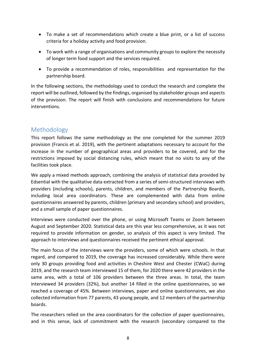- To make a set of recommendations which create a blue print, or a list of success criteria for a holiday activity and food provision.
- To work with a range of organisations and community groups to explore the necessity of longer term food support and the services required.
- To provide a recommendation of roles, responsibilities and representation for the partnership board.

In the following sections, the methodology used to conduct the research and complete the report will be outlined, followed by the findings, organised by stakeholder groups and aspects of the provision. The report will finish with conclusions and recommendations for future interventions.

# <span id="page-7-0"></span>Methodology

This report follows the same methodology as the one completed for the summer 2019 provision (Francis et al. 2019), with the pertinent adaptations necessary to account for the increase in the number of geographical areas and providers to be covered, and for the restrictions imposed by social distancing rules, which meant that no visits to any of the facilities took place.

We apply a mixed methods approach, combining the analysis of statistical data provided by Edsential with the qualitative data extracted from a series of semi-structured interviews with providers (including schools), parents, children, and members of the Partnership Boards, including local area coordinators. These are complemented with data from online questionnaires answered by parents, children (primary and secondary school) and providers, and a small sample of paper questionnaires.

Interviews were conducted over the phone, or using Microsoft Teams or Zoom between August and September 2020. Statistical data are this year less comprehensive, as it was not required to provide information on gender, so analysis of this aspect is very limited. The approach to interviews and questionnaires received the pertinent ethical approval.

The main focus of the interviews were the providers, some of which were schools. In that regard, and compared to 2019, the coverage has increased considerably. While there were only 30 groups providing food and activities in Cheshire West and Chester (CWaC) during 2019, and the research team interviewed 15 of them, for 2020 there were 42 providers in the same area, with a total of 106 providers between the three areas. In total, the team interviewed 34 providers (32%), but another 14 filled in the online questionnaires, so we reached a coverage of 45%. Between interviews, paper and online questionnaires, we also collected information from 77 parents, 43 young people, and 12 members of the partnership boards.

The researchers relied on the area coordinators for the collection of paper questionnaires, and in this sense, lack of commitment with the research (secondary compared to the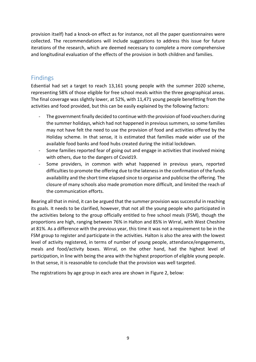provision itself) had a knock-on effect as for instance, not all the paper questionnaires were collected. The recommendations will include suggestions to address this issue for future iterations of the research, which are deemed necessary to complete a more comprehensive and longitudinal evaluation of the effects of the provision in both children and families.

# <span id="page-8-0"></span>Findings

Edsential had set a target to reach 13,161 young people with the summer 2020 scheme, representing 58% of those eligible for free school meals within the three geographical areas. The final coverage was slightly lower, at 52%, with 11,471 young people benefitting from the activities and food provided, but this can be easily explained by the following factors:

- The government finally decided to continue with the provision of food vouchers during the summer holidays, which had not happened in previous summers, so some families may not have felt the need to use the provision of food and activities offered by the Holiday scheme. In that sense, it is estimated that families made wider use of the available food banks and food hubs created during the initial lockdown.
- Some families reported fear of going out and engage in activities that involved mixing with others, due to the dangers of Covid19.
- Some providers, in common with what happened in previous years, reported difficulties to promote the offering due to the lateness in the confirmation of the funds availability and the short time elapsed since to organise and publicise the offering. The closure of many schools also made promotion more difficult, and limited the reach of the communication efforts.

Bearing all that in mind, it can be argued that the summer provision was successful in reaching its goals. It needs to be clarified, however, that not all the young people who participated in the activities belong to the group officially entitled to free school meals (FSM), though the proportions are high, ranging between 76% in Halton and 85% in Wirral, with West Cheshire at 81%. As a difference with the previous year, this time it was not a requirement to be in the FSM group to register and participate in the activities. Halton is also the area with the lowest level of activity registered, in terms of number of young people, attendance/engagements, meals and food/activity boxes. Wirral, on the other hand, had the highest level of participation, in line with being the area with the highest proportion of eligible young people. In that sense, it is reasonable to conclude that the provision was well targeted.

The registrations by age group in each area are shown in Figure 2, below: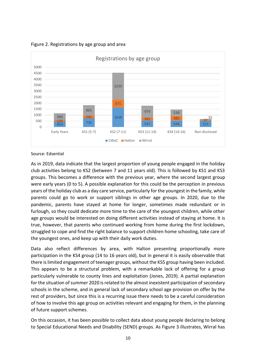Figure 2. Registrations by age group and area



#### Source: Edsential

As in 2019, data indicate that the largest proportion of young people engaged in the holiday club activities belong to KS2 (between 7 and 11 years old). This is followed by KS1 and KS3 groups. This becomes a difference with the previous year, where the second largest group were early years (0 to 5). A possible explanation for this could be the perception in previous years of the holiday club as a day care service, particularly for the youngest in the family, while parents could go to work or support siblings in other age groups. In 2020, due to the pandemic, parents have stayed at home for longer, sometimes made redundant or in furlough, so they could dedicate more time to the care of the youngest children, while other age groups would be interested on doing different activities instead of staying at home. It is true, however, that parents who continued working from home during the first lockdown, struggled to cope and find the right balance to support children home schooling, take care of the youngest ones, and keep up with their daily work duties.

Data also reflect differences by area, with Halton presenting proportionally more participation in the KS4 group (14 to 16 years old), but in general it is easily observable that there is limited engagement of teenager groups, without the KS5 group having been included. This appears to be a structural problem, with a remarkable lack of offering for a group particularly vulnerable to county lines and exploitation (Jones, 2019). A partial explanation for the situation of summer 2020 is related to the almost inexistent participation of secondary schools in the scheme, and in general lack of secondary school age provision on offer by the rest of providers, but since this is a recurring issue there needs to be a careful consideration of how to involve this age group on activities relevant and engaging for them, in the planning of future support schemes.

On this occasion, it has been possible to collect data about young people declaring to belong to Special Educational Needs and Disability (SEND) groups. As Figure 3 illustrates, Wirral has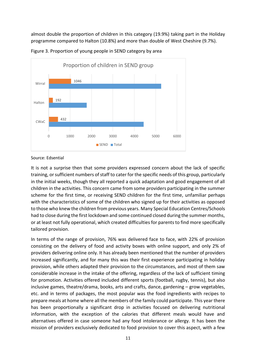almost double the proportion of children in this category (19.9%) taking part in the Holiday programme compared to Halton (10.8%) and more than double of West Cheshire (9.7%).



Figure 3. Proportion of young people in SEND category by area

#### Source: Edsential

It is not a surprise then that some providers expressed concern about the lack of specific training, or sufficient numbers of staff to cater for the specific needs of this group, particularly in the initial weeks, though they all reported a quick adaptation and good engagement of all children in the activities. This concern came from some providers participating in the summer scheme for the first time, or receiving SEND children for the first time, unfamiliar perhaps with the characteristics of some of the children who signed up for their activities as opposed to those who knew the children from previous years. Many Special Education Centres/Schools had to close during the first lockdown and some continued closed during the summer months, or at least not fully operational, which created difficulties for parents to find more specifically tailored provision.

In terms of the range of provision, 76% was delivered face to face, with 22% of provision consisting on the delivery of food and activity boxes with online support, and only 2% of providers delivering online only. It has already been mentioned that the number of providers increased significantly, and for many this was their first experience participating in holiday provision, while others adapted their provision to the circumstances, and most of them saw considerable increase in the intake of the offering, regardless of the lack of sufficient timing for promotion. Activities offered included different sports (football, rugby, tennis), but also inclusive games, theatre/drama, books, arts and crafts, dance, gardening – grow vegetables, etc. and in terms of packages, the most popular was the food ingredients with recipes to prepare meals at home where all the members of the family could participate. This year there has been proportionally a significant drop in activities focused on delivering nutritional information, with the exception of the calories that different meals would have and alternatives offered in case someone had any food intolerance or allergy. It has been the mission of providers exclusively dedicated to food provision to cover this aspect, with a few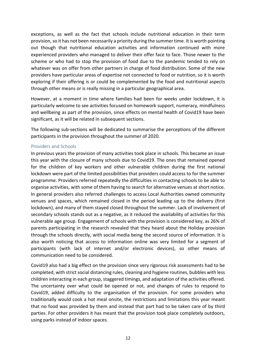exceptions, as well as the fact that schools include nutritional education in their term provision, so it has not been necessarily a priority during the summer time. It is worth pointing out though that nutritional education activities and information continued with more experienced providers who managed to deliver their offer face to face. Those newer to the scheme or who had to stop the provision of food due to the pandemic tended to rely on whatever was on offer from other partners in charge of food distribution. Some of the new providers have particular areas of expertise not connected to food or nutrition, so it is worth exploring if their offering is or could be complemented by the food and nutritional aspects through other means or is really missing in a particular geographical area.

However, at a moment in time where families had been for weeks under lockdown, it is particularly welcome to see activities focused on homework support, numeracy, mindfulness and wellbeing as part of the provision, since effects on mental health of Covid19 have been significant, as it will be related in subsequent sections.

The following sub-sections will be dedicated to summarise the perceptions of the different participants in the provision throughout the summer of 2020.

#### <span id="page-11-0"></span>Providers and Schools

In previous years the provision of many activities took place in schools. This became an issue this year with the closure of many schools due to Covid19. The ones that remained opened for the children of key workers and other vulnerable children during the first national lockdown were part of the limited possibilities that providers could access to for the summer programme. Providers referred repeatedly the difficulties in contacting schools to be able to organise activities, with some of them having to search for alternative venues at short notice. In general providers also referred challenges to access Local Authorities owned community venues and spaces, which remained closed in the period leading up to the delivery (first lockdown), and many of them stayed closed throughout the summer. Lack of involvement of secondary schools stands out as a negative, as it reduced the availability of activities for this vulnerable age group. Engagement of schools with the provision is considered key, as 26% of parents participating in the research revealed that they heard about the Holiday provision through the schools directly, with social media being the second source of information. It is also worth noticing that access to information online was very limited for a segment of participants (with lack of internet and/or electronic devices), so other means of communication need to be considered.

Covid19 also had a big effect on the provision since very rigorous risk assessments had to be completed, with strict social distancing rules, cleaning and hygiene routines, bubbles with less children interacting in each group, staggered timings, and adaptation of the activities offered. The uncertainty over what could be opened or not, and changes of rules to respond to Covid19, added difficulty to the organisation of the provision. For some providers who traditionally would cook a hot meal onsite, the restrictions and limitations this year meant that no food was provided by them and instead that part had to be taken care of by third parties. For other providers it has meant that the provision took place completely outdoors, using parks instead of indoor spaces.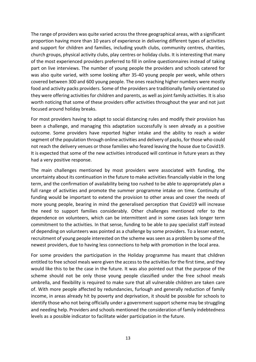The range of providers was quite varied across the three geographical areas, with a significant proportion having more than 10 years of experience in delivering different types of activities and support for children and families, including youth clubs, community centres, charities, church groups, physical activity clubs, play centres or holiday clubs. It is interesting that many of the most experienced providers preferred to fill in online questionnaires instead of taking part on live interviews. The number of young people the providers and schools catered for was also quite varied, with some looking after 35-40 young people per week, while others covered between 300 and 600 young people. The ones reaching higher numbers were mostly food and activity packs providers. Some of the providers are traditionally family orientated so they were offering activities for children and parents, as well as joint family activities. It is also worth noticing that some of these providers offer activities throughout the year and not just focused around holiday breaks.

For most providers having to adapt to social distancing rules and modify their provision has been a challenge, and managing this adaptation successfully is seen already as a positive outcome. Some providers have reported higher intake and the ability to reach a wider segment of the population through online activities and delivery of packs, for those who could not reach the delivery venues or those families who feared leaving the house due to Covid19. It is expected that some of the new activities introduced will continue in future years as they had a very positive response.

The main challenges mentioned by most providers were associated with funding, the uncertainty about its continuation in the future to make activities financially viable in the long term, and the confirmation of availability being too rushed to be able to appropriately plan a full range of activities and promote the summer programme intake on time. Continuity of funding would be important to extend the provision to other areas and cover the needs of more young people, bearing in mind the generalised perception that Covid19 will increase the need to support families considerably. Other challenges mentioned refer to the dependence on volunteers, which can be intermittent and in some cases lack longer term commitment to the activities. In that sense, funding to be able to pay specialist staff instead of depending on volunteers was pointed as a challenge by some providers. To a lesser extent, recruitment of young people interested on the scheme was seen as a problem by some of the newest providers, due to having less connections to help with promotion in the local area.

For some providers the participation in the Holiday programme has meant that children entitled to free school meals were given the access to the activities for the first time, and they would like this to be the case in the future. It was also pointed out that the purpose of the scheme should not be only those young people classified under the free school meals umbrella, and flexibility is required to make sure that all vulnerable children are taken care of. With more people affected by redundancies, furlough and generally reduction of family income, in areas already hit by poverty and deprivation, it should be possible for schools to identify those who not being officially under a government support scheme may be struggling and needing help. Providers and schools mentioned the consideration of family indebtedness levels as a possible indicator to facilitate wider participation in the future.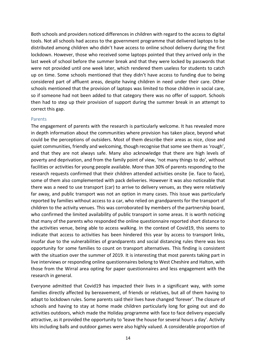Both schools and providers noticed differences in children with regard to the access to digital tools. Not all schools had access to the government programme that delivered laptops to be distributed among children who didn't have access to online school delivery during the first lockdown. However, those who received some laptops pointed that they arrived only in the last week of school before the summer break and that they were locked by passwords that were not provided until one week later, which rendered them useless for students to catch up on time. Some schools mentioned that they didn't have access to funding due to being considered part of affluent areas, despite having children in need under their care. Other schools mentioned that the provision of laptops was limited to those children in social care, so if someone had not been added to that category there was no offer of support. Schools then had to step up their provision of support during the summer break in an attempt to correct this gap.

#### <span id="page-13-0"></span>Parents

The engagement of parents with the research is particularly welcome. It has revealed more in depth information about the communities where provision has taken place, beyond what could be the perceptions of outsiders. Most of them describe their areas as nice, close and quiet communities, friendly and welcoming, though recognise that some see them as 'rough', and that they are not always safe. Many also acknowledge that there are high levels of poverty and deprivation, and from the family point of view, 'not many things to do', without facilities or activities for young people available. More than 30% of parents responding to the research requests confirmed that their children attended activities onsite (ie. face to face), some of them also complemented with pack deliveries. However it was also noticeable that there was a need to use transport (car) to arrive to delivery venues, as they were relatively far away, and public transport was not an option in many cases. This issue was particularly reported by families without access to a car, who relied on grandparents for the transport of children to the activity venues. This was corroborated by members of the partnership board, who confirmed the limited availability of public transport in some areas. It is worth noticing that many of the parents who responded the online questionnaire reported short distance to the activities venue, being able to access walking. In the context of Covid19, this seems to indicate that access to activities has been hindered this year by access to transport links, insofar due to the vulnerabilities of grandparents and social distancing rules there was less opportunity for some families to count on transport alternatives. This finding is consistent with the situation over the summer of 2019. It is interesting that most parents taking part in live interviews or responding online questionnaires belong to West Cheshire and Halton, with those from the Wirral area opting for paper questionnaires and less engagement with the research in general.

Everyone admitted that Covid19 has impacted their lives in a significant way, with some families directly affected by bereavement, of friends or relatives, but all of them having to adapt to lockdown rules. Some parents said their lives have changed 'forever'. The closure of schools and having to stay at home made children particularly long for going out and do activities outdoors, which made the Holiday programme with face to face delivery especially attractive, as it provided the opportunity to 'leave the house for several hours a day'. Activity kits including balls and outdoor games were also highly valued. A considerable proportion of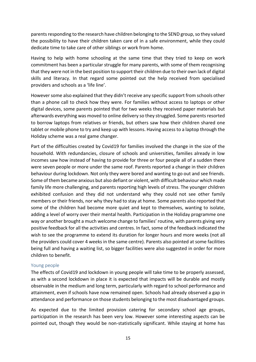parents responding to the research have children belonging to the SEND group, so they valued the possibility to have their children taken care of in a safe environment, while they could dedicate time to take care of other siblings or work from home.

Having to help with home schooling at the same time that they tried to keep on work commitment has been a particular struggle for many parents, with some of them recognising that they were not in the best position to support their children due to their own lack of digital skills and literacy. In that regard some pointed out the help received from specialised providers and schools as a 'life line'.

However some also explained that they didn't receive any specific support from schools other than a phone call to check how they were. For families without access to laptops or other digital devices, some parents pointed that for two weeks they received paper materials but afterwards everything was moved to online delivery so they struggled. Some parents resorted to borrow laptops from relatives or friends, but others saw how their children shared one tablet or mobile phone to try and keep up with lessons. Having access to a laptop through the Holiday scheme was a real game changer.

Part of the difficulties created by Covid19 for families involved the change in the size of the household. With redundancies, closure of schools and universities, families already in low incomes saw how instead of having to provide for three or four people all of a sudden there were seven people or more under the same roof. Parents reported a change in their children behaviour during lockdown. Not only they were bored and wanting to go out and see friends. Some of them became anxious but also defiant or violent, with difficult behaviour which made family life more challenging, and parents reporting high levels of stress. The younger children exhibited confusion and they did not understand why they could not see other family members or their friends, nor why they had to stay at home. Some parents also reported that some of the children had become more quiet and kept to themselves, wanting to isolate, adding a level of worry over their mental health. Participation in the Holiday programme one way or another brought a much welcome change to families' routine, with parents giving very positive feedback for all the activities and centres. In fact, some of the feedback indicated the wish to see the programme to extend its duration for longer hours and more weeks (not all the providers could cover 4 weeks in the same centre). Parents also pointed at some facilities being full and having a waiting list, so bigger facilities were also suggested in order for more children to benefit.

#### <span id="page-14-0"></span>Young people

The effects of Covid19 and lockdown in young people will take time to be properly assessed, as with a second lockdown in place it is expected that impacts will be durable and mostly observable in the medium and long term, particularly with regard to school performance and attainment, even if schools have now remained open. Schools had already observed a gap in attendance and performance on those students belonging to the most disadvantaged groups.

As expected due to the limited provision catering for secondary school age groups, participation in the research has been very low. However some interesting aspects can be pointed out, though they would be non-statistically significant. While staying at home has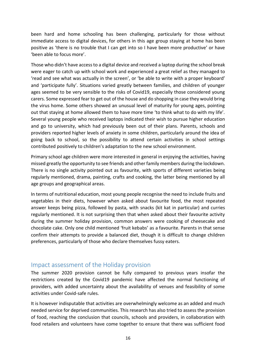been hard and home schooling has been challenging, particularly for those without immediate access to digital devices, for others in this age group staying at home has been positive as 'there is no trouble that I can get into so I have been more productive' or have 'been able to focus more'.

Those who didn't have access to a digital device and received a laptop during the school break were eager to catch up with school work and experienced a great relief as they managed to 'read and see what was actually in the screen', or 'be able to write with a proper keyboard' and 'participate fully'. Situations varied greatly between families, and children of younger ages seemed to be very sensible to the risks of Covid19, especially those considered young carers. Some expressed fear to get out of the house and do shopping in case they would bring the virus home. Some others showed an unusual level of maturity for young ages, pointing out that staying at home allowed them to have more time 'to think what to do with my life'. Several young people who received laptops indicated their wish to pursue higher education and go to university, which had previously been out of their plans. Parents, schools and providers reported higher levels of anxiety in some children, particularly around the idea of going back to school, so the possibility to attend certain activities in school settings contributed positively to children's adaptation to the new school environment.

Primary school age children were more interested in general in enjoying the activities, having missed greatly the opportunity to see friends and other family members during the lockdown. There is no single activity pointed out as favourite, with sports of different varieties being regularly mentioned, drama, painting, crafts and cooking, the latter being mentioned by all age groups and geographical areas.

In terms of nutritional education, most young people recognise the need to include fruits and vegetables in their diets, however when asked about favourite food, the most repeated answer keeps being pizza, followed by pasta, with snacks (kit kat in particular) and curries regularly mentioned. It is not surprising then that when asked about their favourite activity during the summer holiday provision, common answers were cooking of cheesecake and chocolate cake. Only one child mentioned 'fruit kebabs' as a favourite. Parents in that sense confirm their attempts to provide a balanced diet, though it is difficult to change children preferences, particularly of those who declare themselves fussy eaters.

## <span id="page-15-0"></span>Impact assessment of the Holiday provision

The summer 2020 provision cannot be fully compared to previous years insofar the restrictions created by the Covid19 pandemic have affected the normal functioning of providers, with added uncertainty about the availability of venues and feasibility of some activities under Covid-safe rules.

It is however indisputable that activities are overwhelmingly welcome as an added and much needed service for deprived communities. This research has also tried to assess the provision of food, reaching the conclusion that councils, schools and providers, in collaboration with food retailers and volunteers have come together to ensure that there was sufficient food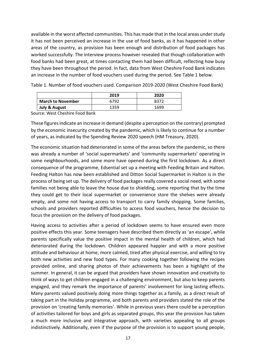available in the worst affected communities. This has made that in the local areas under study it has not been perceived an increase in the use of food banks, as it has happened in other areas of the country, as provision has been enough and distribution of food packages has worked successfully. The interview process however revealed that though collaboration with food banks had been great, at times contacting them had been difficult, reflecting how busy they have been throughout the period. In fact, data from West Cheshire Food Bank indicates an increase in the number of food vouchers used during the period. See Table 1 below.

|                          | 2019 | 2020 |
|--------------------------|------|------|
| <b>March to November</b> | 6792 |      |
| July & August            | 1359 | 1699 |

Table 1. Number of food vouchers used. Comparison 2019-2020 (West Cheshire Food Bank)

Source: West Cheshire Food Bank

These figures indicate an increase in demand (despite a perception on the contrary) prompted by the economic insecurity created by the pandemic, which is likely to continue for a number of years, as indicated by the Spending Review 2020 speech (HM Treasury, 2020).

The economic situation had deteriorated in some of the areas before the pandemic, so there was already a number of 'social supermarkets' and 'community supermarkets' operating in some neighbourhoods, and some more have opened during the first lockdown. As a direct consequence of the programme, Edsential set up a meeting with Feeding Britain and Halton. Feeding Halton has now been established and Ditton Social Supermarket in Halton is in the process of being set up. The delivery of food packages really covered a social need, with some families not being able to leave the house due to shielding, some reporting that by the time they could get to their local supermarket or convenience store the shelves were already empty, and some not having access to transport to carry family shopping. Some families, schools and providers reported difficulties to access food vouchers, hence the decision to focus the provision on the delivery of food packages.

Having access to activities after a period of lockdown seems to have ensured even more positive effects this year. Some teenagers have described them directly as 'an escape', while parents specifically value the positive impact in the mental health of children, which had deteriorated during the lockdown. Children appeared happier and with a more positive attitude and behaviour at home, more calmed, tired after physical exercise, and willing to try both new activities and new food types. For many cooking together following the recipes provided online, and sharing photos of their achievements has been a highlight of the summer. In general, it can be argued that providers have shown innovation and creativity to think of ways to get children engaged in a challenging environment, but also to keep parents engaged, and they remark the importance of parents' involvement for long lasting effects. Many parents valued positively doing more things together as a family, as a direct result of taking part in the Holiday programme, and both parents and providers stated the role of the provision on 'creating family memories'. While in previous years there could be a perception of activities tailored for boys and girls as separated groups, this year the provision has taken a much more inclusive and integrative approach, with varieties appealing to all groups indistinctively. Additionally, even if the purpose of the provision is to support young people,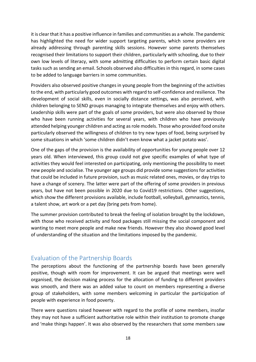it is clear that it has a positive influence in families and communities as a whole. The pandemic has highlighted the need for wider support targeting parents, which some providers are already addressing through parenting skills sessions. However some parents themselves recognised their limitations to support their children, particularly with schooling, due to their own low levels of literacy, with some admitting difficulties to perform certain basic digital tasks such as sending an email. Schools observed also difficulties in this regard, in some cases to be added to language barriers in some communities.

Providers also observed positive changes in young people from the beginning of the activities to the end, with particularly good outcomes with regard to self-confidence and resilience. The development of social skills, even in socially distance settings, was also perceived, with children belonging to SEND groups managing to integrate themselves and enjoy with others. Leadership skills were part of the goals of some providers, but were also observed by those who have been running activities for several years, with children who have previously attended helping younger children and acting as role models. Those who provided food onsite particularly observed the willingness of children to try new types of food, being surprised by some situations in which 'some children didn't even know what a jacket potato was'.

One of the gaps of the provision is the availability of opportunities for young people over 12 years old. When interviewed, this group could not give specific examples of what type of activities they would feel interested on participating, only mentioning the possibility to meet new people and socialise. The younger age groups did provide some suggestions for activities that could be included in future provision, such as music related ones, movies, or day trips to have a change of scenery. The latter were part of the offering of some providers in previous years, but have not been possible in 2020 due to Covid19 restrictions. Other suggestions, which show the different provisions available, include football, volleyball, gymnastics, tennis, a talent show, art work or a pet day (bring pets from home).

The summer provision contributed to break the feeling of isolation brought by the lockdown, with those who received activity and food packages still missing the social component and wanting to meet more people and make new friends. However they also showed good level of understanding of the situation and the limitations imposed by the pandemic.

# <span id="page-17-0"></span>Evaluation of the Partnership Boards

The perceptions about the functioning of the partnership boards have been generally positive, though with room for improvement. It can be argued that meetings were well organised, the decision making process for the allocation of funding to different providers was smooth, and there was an added value to count on members representing a diverse group of stakeholders, with some members welcoming in particular the participation of people with experience in food poverty.

There were questions raised however with regard to the profile of some members, insofar they may not have a sufficient authoritative role within their institution to promote change and 'make things happen'. It was also observed by the researchers that some members saw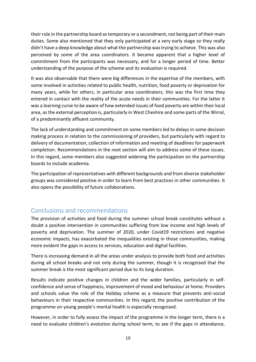their role in the partnership board as temporary or a secondment, not being part of their main duties. Some also mentioned that they only participated at a very early stage so they really didn't have a deep knowledge about what the partnership was trying to achieve. This was also perceived by some of the area coordinators. It became apparent that a higher level of commitment from the participants was necessary, and for a longer period of time. Better understanding of the purpose of the scheme and its evaluation is required.

It was also observable that there were big differences in the expertise of the members, with some involved in activities related to public health, nutrition, food poverty or deprivation for many years, while for others, in particular area coordinators, this was the first time they entered in contact with the reality of the acute needs in their communities. For the latter it was a learning curve to be aware of how extended issues of food poverty are within their local area, as the external perception is, particularly in West Cheshire and some parts of the Wirral, of a predominantly affluent community.

The lack of understanding and commitment on some members led to delays in some decision making process in relation to the commissioning of providers, but particularly with regard to delivery of documentation, collection of information and meeting of deadlines for paperwork completion. Recommendations in the next section will aim to address some of these issues. In this regard, some members also suggested widening the participation on the partnership boards to include academia.

The participation of representatives with different backgrounds and from diverse stakeholder groups was considered positive in order to learn from best practices in other communities. It also opens the possibility of future collaborations.

# <span id="page-18-0"></span>Conclusions and recommendations

The provision of activities and food during the summer school break constitutes without a doubt a positive intervention in communities suffering from low income and high levels of poverty and deprivation. The summer of 2020, under Covid19 restrictions and negative economic impacts, has exacerbated the inequalities existing in those communities, making more evident the gaps in access to services, education and digital facilities.

There is increasing demand in all the areas under analysis to provide both food and activities during all school breaks and not only during the summer, though it is recognised that the summer break is the most significant period due to its long duration.

Results indicate positive changes in children and the wider families, particularly in selfconfidence and sense of happiness, improvement of mood and behaviour at home. Providers and schools value the role of the Holiday scheme as a measure that prevents anti-social behaviours in their respective communities. In this regard, the positive contribution of the programme on young people's mental health is especially recognised.

However, in order to fully assess the impact of the programme in the longer term, there is a need to evaluate children's evolution during school term, to see if the gaps in attendance,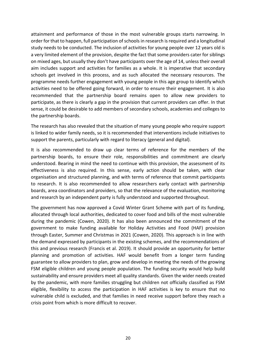attainment and performance of those in the most vulnerable groups starts narrowing. In order for that to happen, full participation of schools in research is required and a longitudinal study needs to be conducted. The inclusion of activities for young people over 12 years old is a very limited element of the provision, despite the fact that some providers cater for siblings on mixed ages, but usually they don't have participants over the age of 14, unless their overall aim includes support and activities for families as a whole. It is imperative that secondary schools get involved in this process, and as such allocated the necessary resources. The programme needs further engagement with young people in this age group to identify which activities need to be offered going forward, in order to ensure their engagement. It is also recommended that the partnership board remains open to allow new providers to participate, as there is clearly a gap in the provision that current providers can offer. In that sense, it could be desirable to add members of secondary schools, academies and colleges to the partnership boards.

The research has also revealed that the situation of many young people who require support is linked to wider family needs, so it is recommended that interventions include initiatives to support the parents, particularly with regard to literacy (general and digital).

It is also recommended to draw up clear terms of reference for the members of the partnership boards, to ensure their role, responsibilities and commitment are clearly understood. Bearing in mind the need to continue with this provision, the assessment of its effectiveness is also required. In this sense, early action should be taken, with clear organisation and structured planning, and with terms of reference that commit participants to research. It is also recommended to allow researchers early contact with partnership boards, area coordinators and providers, so that the relevance of the evaluation, monitoring and research by an independent party is fully understood and supported throughout.

The government has now approved a Covid Winter Grant Scheme with part of its funding, allocated through local authorities, dedicated to cover food and bills of the most vulnerable during the pandemic (Cowen, 2020). It has also been announced the commitment of the government to make funding available for Holiday Activities and Food (HAF) provision through Easter, Summer and Christmas in 2021 (Cowen, 2020). This approach is in line with the demand expressed by participants in the existing schemes, and the recommendations of this and previous research (Francis et al. 2019). It should provide an opportunity for better planning and promotion of activities. HAF would benefit from a longer term funding guarantee to allow providers to plan, grow and develop in meeting the needs of the growing FSM eligible children and young people population. The funding security would help build sustainability and ensure providers meet all quality standards. Given the wider needs created by the pandemic, with more families struggling but children not officially classified as FSM eligible, flexibility to access the participation in HAF activities is key to ensure that no vulnerable child is excluded, and that families in need receive support before they reach a crisis point from which is more difficult to recover.